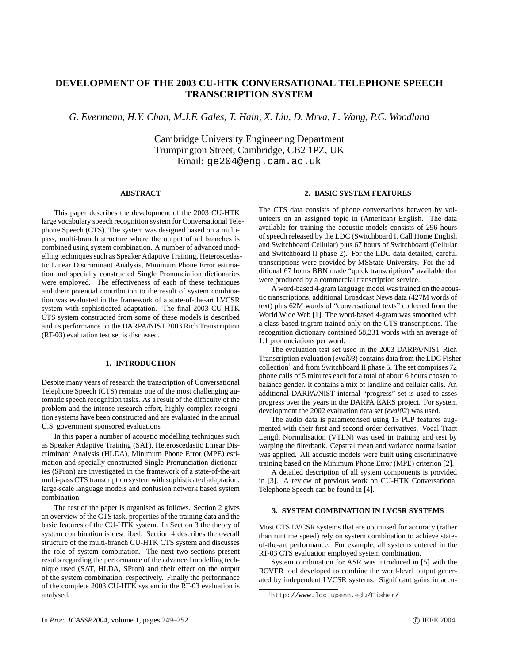# **DEVELOPMENT OF THE 2003 CU-HTK CONVERSATIONAL TELEPHONE SPEECH TRANSCRIPTION SYSTEM**

*G. Evermann, H.Y. Chan, M.J.F. Gales, T. Hain, X. Liu, D. Mrva, L. Wang, P.C. Woodland*

Cambridge University Engineering Department Trumpington Street, Cambridge, CB2 1PZ, UK Email: ge204@eng.cam.ac.uk

# **ABSTRACT**

This paper describes the development of the 2003 CU-HTK large vocabulary speech recognition system for Conversational Telephone Speech (CTS). The system was designed based on a multipass, multi-branch structure where the output of all branches is combined using system combination. A number of advanced modelling techniques such as Speaker Adaptive Training, Heteroscedastic Linear Discriminant Analysis, Minimum Phone Error estimation and specially constructed Single Pronunciation dictionaries were employed. The effectiveness of each of these techniques and their potential contribution to the result of system combination was evaluated in the framework of a state-of-the-art LVCSR system with sophisticated adaptation. The final 2003 CU-HTK CTS system constructed from some of these models is described and its performance on the DARPA/NIST 2003 Rich Transcription (RT-03) evaluation test set is discussed.

## **1. INTRODUCTION**

Despite many years of research the transcription of Conversational Telephone Speech (CTS) remains one of the most challenging automatic speech recognition tasks. As a result of the difficulty of the problem and the intense research effort, highly complex recognition systems have been constructed and are evaluated in the annual U.S. government sponsored evaluations

In this paper a number of acoustic modelling techniques such as Speaker Adaptive Training (SAT), Heteroscedastic Linear Discriminant Analysis (HLDA), Minimum Phone Error (MPE) estimation and specially constructed Single Pronunciation dictionaries (SPron) are investigated in the framework of a state-of-the-art multi-pass CTS transcription system with sophisticated adaptation, large-scale language models and confusion network based system combination.

The rest of the paper is organised as follows. Section 2 gives an overview of the CTS task, properties of the training data and the basic features of the CU-HTK system. In Section 3 the theory of system combination is described. Section 4 describes the overall structure of the multi-branch CU-HTK CTS system and discusses the role of system combination. The next two sections present results regarding the performance of the advanced modelling technique used (SAT, HLDA, SPron) and their effect on the output of the system combination, respectively. Finally the performance of the complete 2003 CU-HTK system in the RT-03 evaluation is analysed.

# **2. BASIC SYSTEM FEATURES**

The CTS data consists of phone conversations between by volunteers on an assigned topic in (American) English. The data available for training the acoustic models consists of 296 hours of speech released by the LDC (Switchboard I, Call Home English and Switchboard Cellular) plus 67 hours of Switchboard (Cellular and Switchboard II phase 2). For the LDC data detailed, careful transcriptions were provided by MSState University. For the additional 67 hours BBN made "quick transcriptions" available that were produced by a commercial transcription service.

A word-based 4-gram language model was trained on the acoustic transcriptions, additional Broadcast News data (427M words of text) plus 62M words of "conversational texts" collected from the World Wide Web [1]. The word-based 4-gram was smoothed with a class-based trigram trained only on the CTS transcriptions. The recognition dictionary contained 58,231 words with an average of 1.1 pronunciations per word.

The evaluation test set used in the 2003 DARPA/NIST Rich Transcription evaluation (*eval03*) contains data from the LDC Fisher collection<sup>1</sup> and from Switchboard II phase 5. The set comprises 72 phone calls of 5 minutes each for a total of about 6 hours chosen to balance gender. It contains a mix of landline and cellular calls. An additional DARPA/NIST internal "progress" set is used to asses progress over the years in the DARPA EARS project. For system development the 2002 evaluation data set (*eval02*) was used.

The audio data is parameterised using 13 PLP features augmented with their first and second order derivatives. Vocal Tract Length Normalisation (VTLN) was used in training and test by warping the filterbank. Cepstral mean and variance normalisation was applied. All acoustic models were built using discriminative training based on the Minimum Phone Error (MPE) criterion [2].

A detailed description of all system components is provided in [3]. A review of previous work on CU-HTK Conversational Telephone Speech can be found in [4].

## **3. SYSTEM COMBINATION IN LVCSR SYSTEMS**

Most CTS LVCSR systems that are optimised for accuracy (rather than runtime speed) rely on system combination to achieve stateof-the-art performance. For example, all systems entered in the RT-03 CTS evaluation employed system combination.

System combination for ASR was introduced in [5] with the ROVER tool developed to combine the word-level output generated by independent LVCSR systems. Significant gains in accu-

<sup>1</sup>http://www.ldc.upenn.edu/Fisher/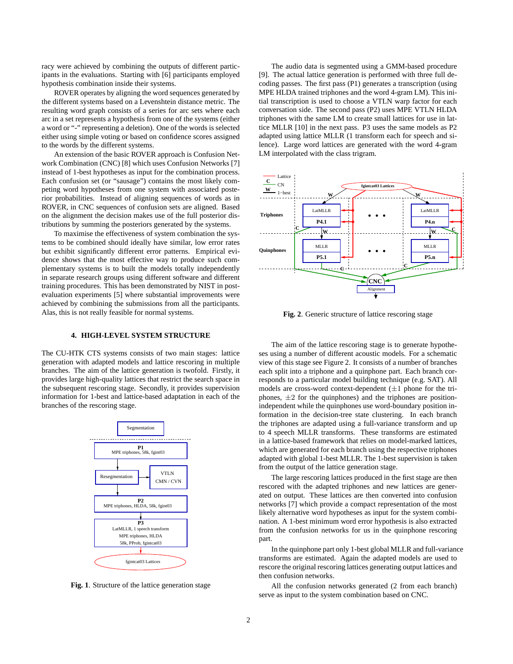racy were achieved by combining the outputs of different participants in the evaluations. Starting with [6] participants employed hypothesis combination inside their systems.

ROVER operates by aligning the word sequences generated by the different systems based on a Levenshtein distance metric. The resulting word graph consists of a series for arc sets where each arc in a set represents a hypothesis from one of the systems (either a word or "-" representing a deletion). One of the words is selected either using simple voting or based on confidence scores assigned to the words by the different systems.

An extension of the basic ROVER approach is Confusion Network Combination (CNC) [8] which uses Confusion Networks [7] instead of 1-best hypotheses as input for the combination process. Each confusion set (or "sausage") contains the most likely competing word hypotheses from one system with associated posterior probabilities. Instead of aligning sequences of words as in ROVER, in CNC sequences of confusion sets are aligned. Based on the alignment the decision makes use of the full posterior distributions by summing the posteriors generated by the systems.

To maximise the effectiveness of system combination the systems to be combined should ideally have similar, low error rates but exhibit significantly different error patterns. Empirical evidence shows that the most effective way to produce such complementary systems is to built the models totally independently in separate research groups using different software and different training procedures. This has been demonstrated by NIST in postevaluation experiments [5] where substantial improvements were achieved by combining the submissions from all the participants. Alas, this is not really feasible for normal systems.

#### **4. HIGH-LEVEL SYSTEM STRUCTURE**

The CU-HTK CTS systems consists of two main stages: lattice generation with adapted models and lattice rescoring in multiple branches. The aim of the lattice generation is twofold. Firstly, it provides large high-quality lattices that restrict the search space in the subsequent rescoring stage. Secondly, it provides supervision information for 1-best and lattice-based adaptation in each of the branches of the rescoring stage.



**Fig. 1**. Structure of the lattice generation stage

The audio data is segmented using a GMM-based procedure [9]. The actual lattice generation is performed with three full decoding passes. The first pass (P1) generates a transcription (using MPE HLDA trained triphones and the word 4-gram LM). This initial transcription is used to choose a VTLN warp factor for each conversation side. The second pass (P2) uses MPE VTLN HLDA triphones with the same LM to create small lattices for use in lattice MLLR [10] in the next pass. P3 uses the same models as P2 adapted using lattice MLLR (1 transform each for speech and silence). Large word lattices are generated with the word 4-gram LM interpolated with the class trigram.



**Fig. 2**. Generic structure of lattice rescoring stage

The aim of the lattice rescoring stage is to generate hypotheses using a number of different acoustic models. For a schematic view of this stage see Figure 2. It consists of a number of branches each split into a triphone and a quinphone part. Each branch corresponds to a particular model building technique (e.g. SAT). All models are cross-word context-dependent  $(\pm 1)$  phone for the triphones,  $\pm 2$  for the quinphones) and the triphones are positionindependent while the quinphones use word-boundary position information in the decision-tree state clustering. In each branch the triphones are adapted using a full-variance transform and up to 4 speech MLLR transforms. These transforms are estimated in a lattice-based framework that relies on model-marked lattices, which are generated for each branch using the respective triphones adapted with global 1-best MLLR. The 1-best supervision is taken from the output of the lattice generation stage.

The large rescoring lattices produced in the first stage are then rescored with the adapted triphones and new lattices are generated on output. These lattices are then converted into confusion networks [7] which provide a compact representation of the most likely alternative word hypotheses as input for the system combination. A 1-best minimum word error hypothesis is also extracted from the confusion networks for us in the quinphone rescoring part.

In the quinphone part only 1-best global MLLR and full-variance transforms are estimated. Again the adapted models are used to rescore the original rescoring lattices generating output lattices and then confusion networks.

All the confusion networks generated (2 from each branch) serve as input to the system combination based on CNC.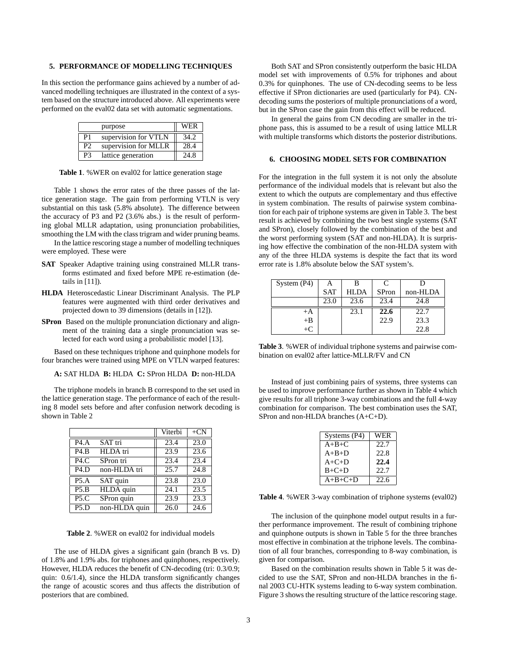#### **5. PERFORMANCE OF MODELLING TECHNIQUES**

In this section the performance gains achieved by a number of advanced modelling techniques are illustrated in the context of a system based on the structure introduced above. All experiments were performed on the eval02 data set with automatic segmentations.

|                | purpose              | <b>WER</b> |
|----------------|----------------------|------------|
| P <sub>1</sub> | supervision for VTLN | 34.2       |
| P <sub>2</sub> | supervision for MLLR | 28.4       |
| P3             | lattice generation   | 24.8       |

**Table 1**. %WER on eval02 for lattice generation stage

Table 1 shows the error rates of the three passes of the lattice generation stage. The gain from performing VTLN is very substantial on this task (5.8% absolute). The difference between the accuracy of P3 and P2 (3.6% abs.) is the result of performing global MLLR adaptation, using pronunciation probabilities, smoothing the LM with the class trigram and wider pruning beams.

In the lattice rescoring stage a number of modelling techniques were employed. These were

- **SAT** Speaker Adaptive training using constrained MLLR transforms estimated and fixed before MPE re-estimation (details in [11]).
- **HLDA** Heteroscedastic Linear Discriminant Analysis. The PLP features were augmented with third order derivatives and projected down to 39 dimensions (details in [12]).
- **SPron** Based on the multiple pronunciation dictionary and alignment of the training data a single pronunciation was selected for each word using a probabilistic model [13].

Based on these techniques triphone and quinphone models for four branches were trained using MPE on VTLN warped features:

# **A:** SAT HLDA **B:** HLDA **C:** SPron HLDA **D:** non-HLDA

The triphone models in branch B correspond to the set used in the lattice generation stage. The performance of each of the resulting 8 model sets before and after confusion network decoding is shown in Table 2

|                   |               | Viterbi | $+CN$             |
|-------------------|---------------|---------|-------------------|
| P4.A              | SAT tri       | 23.4    | 23.0              |
| P4.B              | HLDA tri      | 23.9    | 23.6              |
| P4.C              | SPron tri     | 23.4    | 23.4              |
| P4.D              | non-HLDA tri  | 25.7    | 24.8              |
| P5.A              | SAT quin      | 23.8    | $\overline{23.0}$ |
| P5.B              | HLDA quin     | 24.1    | 23.5              |
| P5.C              | SPron quin    | 23.9    | 23.3              |
| P <sub>5</sub> .D | non-HLDA quin | 26.0    | 24.6              |

**Table 2**. %WER on eval02 for individual models

The use of HLDA gives a significant gain (branch B vs. D) of 1.8% and 1.9% abs. for triphones and quinphones, respectively. However, HLDA reduces the benefit of CN-decoding (tri: 0.3/0.9; quin: 0.6/1.4), since the HLDA transform significantly changes the range of acoustic scores and thus affects the distribution of posteriors that are combined.

Both SAT and SPron consistently outperform the basic HLDA model set with improvements of 0.5% for triphones and about 0.3% for quinphones. The use of CN-decoding seems to be less effective if SPron dictionaries are used (particularly for P4). CNdecoding sums the posteriors of multiple pronunciations of a word, but in the SPron case the gain from this effect will be reduced.

In general the gains from CN decoding are smaller in the triphone pass, this is assumed to be a result of using lattice MLLR with multiple transforms which distorts the posterior distributions.

## **6. CHOOSING MODEL SETS FOR COMBINATION**

For the integration in the full system it is not only the absolute performance of the individual models that is relevant but also the extent to which the outputs are complementary and thus effective in system combination. The results of pairwise system combination for each pair of triphone systems are given in Table 3. The best result is achieved by combining the two best single systems (SAT and SPron), closely followed by the combination of the best and the worst performing system (SAT and non-HLDA). It is surprising how effective the combination of the non-HLDA system with any of the three HLDA systems is despite the fact that its word error rate is 1.8% absolute below the SAT system's.

| System $(P4)$ |            |             | $\mathcal{C}$ |          |
|---------------|------------|-------------|---------------|----------|
|               | <b>SAT</b> | <b>HLDA</b> | <b>SPron</b>  | non-HLDA |
|               | 23.0       | 23.6        | 23.4          | 24.8     |
| $+A$          |            | 23.1        | 22.6          | 22.7     |
| $+{\bf B}$    |            |             | 22.9          | 23.3     |
| $+C$          |            |             |               | 22.8     |

**Table 3**. %WER of individual triphone systems and pairwise combination on eval02 after lattice-MLLR/FV and CN

Instead of just combining pairs of systems, three systems can be used to improve performance further as shown in Table 4 which give results for all triphone 3-way combinations and the full 4-way combination for comparison. The best combination uses the SAT, SPron and non-HLDA branches (A+C+D).

| Systems $(P4)$ | WER  |
|----------------|------|
| $A+B+C$        | 22.7 |
| $A+B+D$        | 22.8 |
| $A+C+D$        | 22.4 |
| $B+C+D$        | 22.7 |
| $A+B+C+D$      | 22.6 |

**Table 4**. %WER 3-way combination of triphone systems (eval02)

The inclusion of the quinphone model output results in a further performance improvement. The result of combining triphone and quinphone outputs is shown in Table 5 for the three branches most effective in combination at the triphone levels. The combination of all four branches, corresponding to 8-way combination, is given for comparison.

Based on the combination results shown in Table 5 it was decided to use the SAT, SPron and non-HLDA branches in the final 2003 CU-HTK systems leading to 6-way system combination. Figure 3 shows the resulting structure of the lattice rescoring stage.